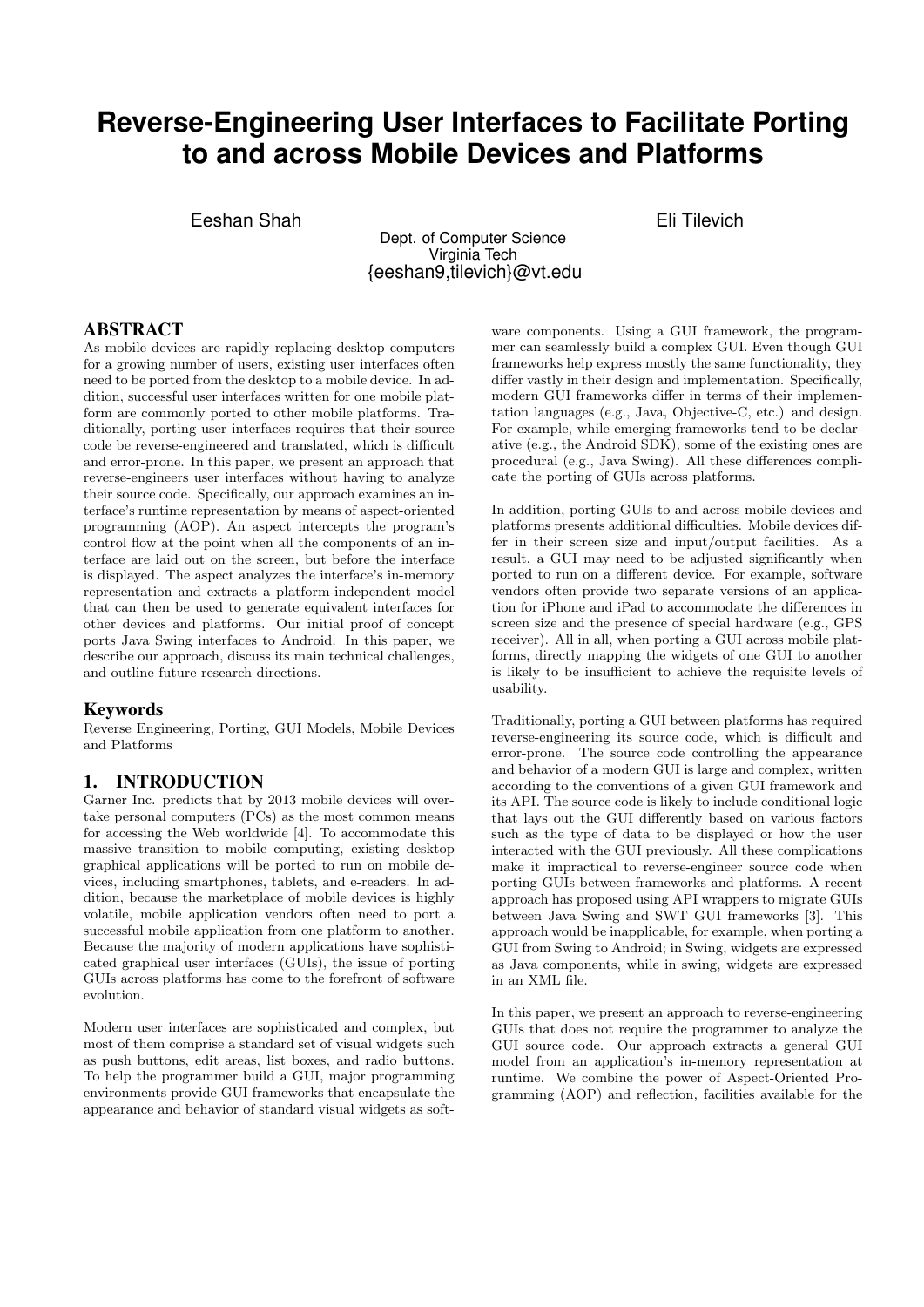# **Reverse-Engineering User Interfaces to Facilitate Porting to and across Mobile Devices and Platforms**

Eeshan Shah

Dept. of Computer Science Virginia Tech {eeshan9,tilevich}@vt.edu

ABSTRACT

As mobile devices are rapidly replacing desktop computers for a growing number of users, existing user interfaces often need to be ported from the desktop to a mobile device. In addition, successful user interfaces written for one mobile platform are commonly ported to other mobile platforms. Traditionally, porting user interfaces requires that their source code be reverse-engineered and translated, which is difficult and error-prone. In this paper, we present an approach that reverse-engineers user interfaces without having to analyze their source code. Specifically, our approach examines an interface's runtime representation by means of aspect-oriented programming (AOP). An aspect intercepts the program's control flow at the point when all the components of an interface are laid out on the screen, but before the interface is displayed. The aspect analyzes the interface's in-memory representation and extracts a platform-independent model that can then be used to generate equivalent interfaces for other devices and platforms. Our initial proof of concept ports Java Swing interfaces to Android. In this paper, we describe our approach, discuss its main technical challenges, and outline future research directions.

### **Keywords**

Reverse Engineering, Porting, GUI Models, Mobile Devices and Platforms

## 1. INTRODUCTION

Garner Inc. predicts that by 2013 mobile devices will overtake personal computers (PCs) as the most common means for accessing the Web worldwide [4]. To accommodate this massive transition to mobile computing, existing desktop graphical applications will be ported to run on mobile devices, including smartphones, tablets, and e-readers. In addition, because the marketplace of mobile devices is highly volatile, mobile application vendors often need to port a successful mobile application from one platform to another. Because the majority of modern applications have sophisticated graphical user interfaces (GUIs), the issue of porting GUIs across platforms has come to the forefront of software evolution.

Modern user interfaces are sophisticated and complex, but most of them comprise a standard set of visual widgets such as push buttons, edit areas, list boxes, and radio buttons. To help the programmer build a GUI, major programming environments provide GUI frameworks that encapsulate the appearance and behavior of standard visual widgets as soft-

ware components. Using a GUI framework, the programmer can seamlessly build a complex GUI. Even though GUI frameworks help express mostly the same functionality, they differ vastly in their design and implementation. Specifically, modern GUI frameworks differ in terms of their implementation languages (e.g., Java, Objective-C, etc.) and design. For example, while emerging frameworks tend to be declarative (e.g., the Android SDK), some of the existing ones are procedural (e.g., Java Swing). All these differences complicate the porting of GUIs across platforms.

In addition, porting GUIs to and across mobile devices and platforms presents additional difficulties. Mobile devices differ in their screen size and input/output facilities. As a result, a GUI may need to be adjusted significantly when ported to run on a different device. For example, software vendors often provide two separate versions of an application for iPhone and iPad to accommodate the differences in screen size and the presence of special hardware (e.g., GPS receiver). All in all, when porting a GUI across mobile platforms, directly mapping the widgets of one GUI to another is likely to be insufficient to achieve the requisite levels of usability.

Traditionally, porting a GUI between platforms has required reverse-engineering its source code, which is difficult and error-prone. The source code controlling the appearance and behavior of a modern GUI is large and complex, written according to the conventions of a given GUI framework and its API. The source code is likely to include conditional logic that lays out the GUI differently based on various factors such as the type of data to be displayed or how the user interacted with the GUI previously. All these complications make it impractical to reverse-engineer source code when porting GUIs between frameworks and platforms. A recent approach has proposed using API wrappers to migrate GUIs between Java Swing and SWT GUI frameworks [3]. This approach would be inapplicable, for example, when porting a GUI from Swing to Android; in Swing, widgets are expressed as Java components, while in swing, widgets are expressed in an XML file.

In this paper, we present an approach to reverse-engineering GUIs that does not require the programmer to analyze the GUI source code. Our approach extracts a general GUI model from an application's in-memory representation at runtime. We combine the power of Aspect-Oriented Programming (AOP) and reflection, facilities available for the

Eli Tilevich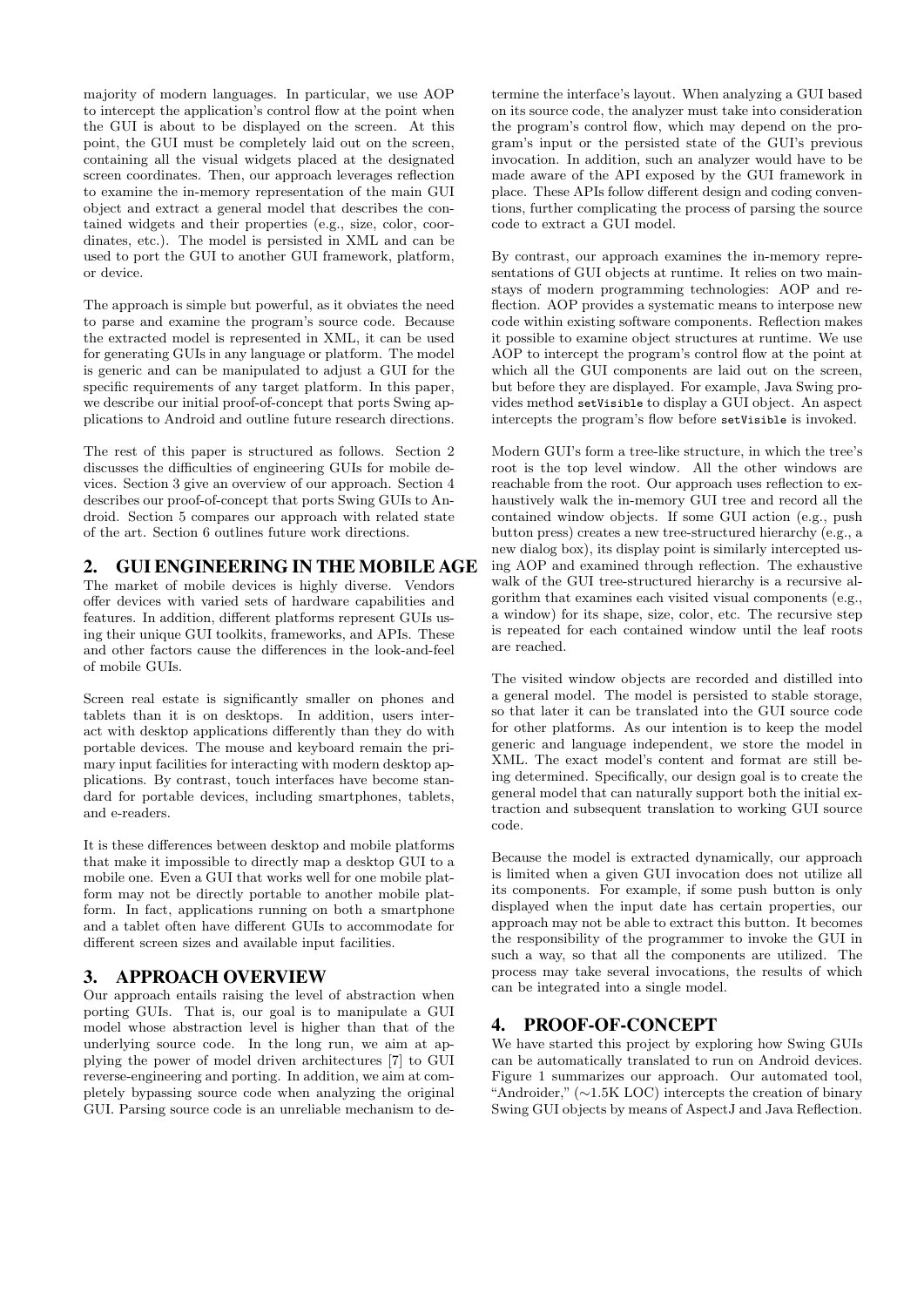majority of modern languages. In particular, we use AOP to intercept the application's control flow at the point when the GUI is about to be displayed on the screen. At this point, the GUI must be completely laid out on the screen, containing all the visual widgets placed at the designated screen coordinates. Then, our approach leverages reflection to examine the in-memory representation of the main GUI object and extract a general model that describes the contained widgets and their properties (e.g., size, color, coordinates, etc.). The model is persisted in XML and can be used to port the GUI to another GUI framework, platform, or device.

The approach is simple but powerful, as it obviates the need to parse and examine the program's source code. Because the extracted model is represented in XML, it can be used for generating GUIs in any language or platform. The model is generic and can be manipulated to adjust a GUI for the specific requirements of any target platform. In this paper, we describe our initial proof-of-concept that ports Swing applications to Android and outline future research directions.

The rest of this paper is structured as follows. Section 2 discusses the difficulties of engineering GUIs for mobile devices. Section 3 give an overview of our approach. Section 4 describes our proof-of-concept that ports Swing GUIs to Android. Section 5 compares our approach with related state of the art. Section 6 outlines future work directions.

## 2. GUI ENGINEERING IN THE MOBILE AGE

The market of mobile devices is highly diverse. Vendors offer devices with varied sets of hardware capabilities and features. In addition, different platforms represent GUIs using their unique GUI toolkits, frameworks, and APIs. These and other factors cause the differences in the look-and-feel of mobile GUIs.

Screen real estate is significantly smaller on phones and tablets than it is on desktops. In addition, users interact with desktop applications differently than they do with portable devices. The mouse and keyboard remain the primary input facilities for interacting with modern desktop applications. By contrast, touch interfaces have become standard for portable devices, including smartphones, tablets, and e-readers.

It is these differences between desktop and mobile platforms that make it impossible to directly map a desktop GUI to a mobile one. Even a GUI that works well for one mobile platform may not be directly portable to another mobile platform. In fact, applications running on both a smartphone and a tablet often have different GUIs to accommodate for different screen sizes and available input facilities.

# 3. APPROACH OVERVIEW

Our approach entails raising the level of abstraction when porting GUIs. That is, our goal is to manipulate a GUI model whose abstraction level is higher than that of the underlying source code. In the long run, we aim at applying the power of model driven architectures [7] to GUI reverse-engineering and porting. In addition, we aim at completely bypassing source code when analyzing the original GUI. Parsing source code is an unreliable mechanism to de-

termine the interface's layout. When analyzing a GUI based on its source code, the analyzer must take into consideration the program's control flow, which may depend on the program's input or the persisted state of the GUI's previous invocation. In addition, such an analyzer would have to be made aware of the API exposed by the GUI framework in place. These APIs follow different design and coding conventions, further complicating the process of parsing the source code to extract a GUI model.

By contrast, our approach examines the in-memory representations of GUI objects at runtime. It relies on two mainstays of modern programming technologies: AOP and reflection. AOP provides a systematic means to interpose new code within existing software components. Reflection makes it possible to examine object structures at runtime. We use AOP to intercept the program's control flow at the point at which all the GUI components are laid out on the screen. but before they are displayed. For example, Java Swing provides method setVisible to display a GUI object. An aspect intercepts the program's flow before setVisible is invoked.

Modern GUI's form a tree-like structure, in which the tree's root is the top level window. All the other windows are reachable from the root. Our approach uses reflection to exhaustively walk the in-memory GUI tree and record all the contained window objects. If some GUI action (e.g., push button press) creates a new tree-structured hierarchy (e.g., a new dialog box), its display point is similarly intercepted using AOP and examined through reflection. The exhaustive walk of the GUI tree-structured hierarchy is a recursive algorithm that examines each visited visual components (e.g., a window) for its shape, size, color, etc. The recursive step is repeated for each contained window until the leaf roots are reached.

The visited window objects are recorded and distilled into a general model. The model is persisted to stable storage, so that later it can be translated into the GUI source code for other platforms. As our intention is to keep the model generic and language independent, we store the model in XML. The exact model's content and format are still being determined. Specifically, our design goal is to create the general model that can naturally support both the initial extraction and subsequent translation to working GUI source code.

Because the model is extracted dynamically, our approach is limited when a given GUI invocation does not utilize all its components. For example, if some push button is only displayed when the input date has certain properties, our approach may not be able to extract this button. It becomes the responsibility of the programmer to invoke the GUI in such a way, so that all the components are utilized. The process may take several invocations, the results of which can be integrated into a single model.

# 4. PROOF-OF-CONCEPT

We have started this project by exploring how Swing GUIs can be automatically translated to run on Android devices. Figure 1 summarizes our approach. Our automated tool, "Androider," (∼1.5K LOC) intercepts the creation of binary Swing GUI objects by means of AspectJ and Java Reflection.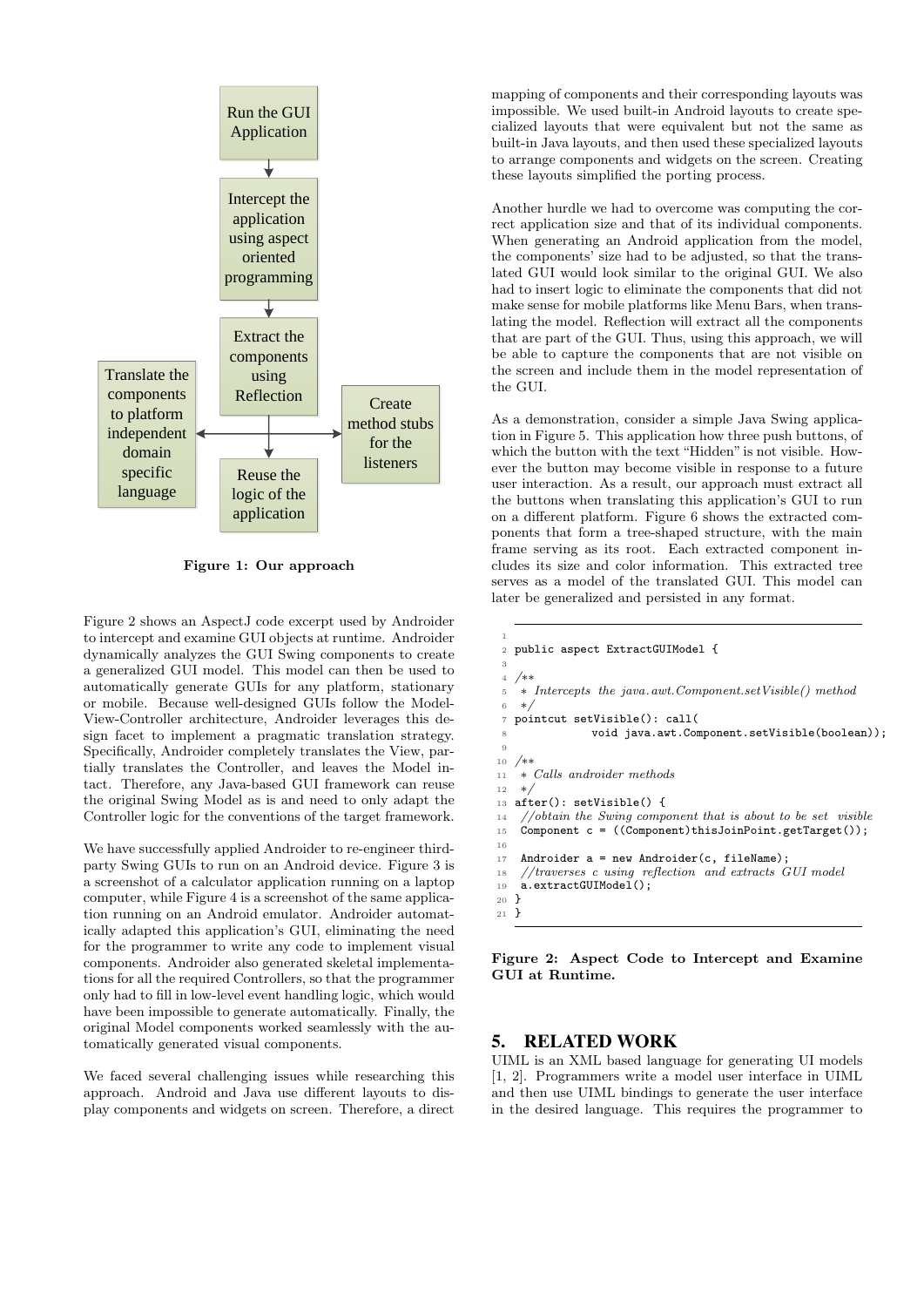

Figure 1: Our approach

Figure 2 shows an AspectJ code excerpt used by Androider to intercept and examine GUI objects at runtime. Androider dynamically analyzes the GUI Swing components to create a generalized GUI model. This model can then be used to automatically generate GUIs for any platform, stationary or mobile. Because well-designed GUIs follow the Model-View-Controller architecture, Androider leverages this design facet to implement a pragmatic translation strategy. Specifically, Androider completely translates the View, partially translates the Controller, and leaves the Model intact. Therefore, any Java-based GUI framework can reuse the original Swing Model as is and need to only adapt the Controller logic for the conventions of the target framework.

We have successfully applied Androider to re-engineer thirdparty Swing GUIs to run on an Android device. Figure 3 is a screenshot of a calculator application running on a laptop computer, while Figure 4 is a screenshot of the same application running on an Android emulator. Androider automatically adapted this application's GUI, eliminating the need for the programmer to write any code to implement visual components. Androider also generated skeletal implementations for all the required Controllers, so that the programmer only had to fill in low-level event handling logic, which would have been impossible to generate automatically. Finally, the original Model components worked seamlessly with the automatically generated visual components.

We faced several challenging issues while researching this approach. Android and Java use different layouts to display components and widgets on screen. Therefore, a direct

mapping of components and their corresponding layouts was impossible. We used built-in Android layouts to create specialized layouts that were equivalent but not the same as built-in Java layouts, and then used these specialized layouts to arrange components and widgets on the screen. Creating these layouts simplified the porting process.

Another hurdle we had to overcome was computing the correct application size and that of its individual components. When generating an Android application from the model, the components' size had to be adjusted, so that the translated GUI would look similar to the original GUI. We also had to insert logic to eliminate the components that did not make sense for mobile platforms like Menu Bars, when translating the model. Reflection will extract all the components that are part of the GUI. Thus, using this approach, we will be able to capture the components that are not visible on the screen and include them in the model representation of the GUI.

As a demonstration, consider a simple Java Swing application in Figure 5. This application how three push buttons, of which the button with the text "Hidden"is not visible. However the button may become visible in response to a future user interaction. As a result, our approach must extract all the buttons when translating this application's GUI to run on a different platform. Figure 6 shows the extracted components that form a tree-shaped structure, with the main frame serving as its root. Each extracted component includes its size and color information. This extracted tree serves as a model of the translated GUI. This model can later be generalized and persisted in any format.

```
1
2 public aspect ExtractGUIModel {
3
4 /∗∗
5 ∗ Intercepts the java.awt.Component.setVisible() method
6 ∗/
7 pointcut setVisible(): call(
8 void java.awt.Component.setVisible(boolean));
\alpha10 /∗∗
11 ∗ Calls androider methods
12 ∗/
13 after(): setVisible() {
14 //obtain the Swing component that is about to be set visible
15 Component c = ((Component)thisJoinPoint.getTarget());
16
17 Androider a = new Androider(c, fileName);
18 //traverses c using reflection and extracts GUI model
19 a.extractGUIModel();
\begin{matrix} 20 \\ 21 \end{matrix}21
```
Figure 2: Aspect Code to Intercept and Examine GUI at Runtime.

## 5. RELATED WORK

UIML is an XML based language for generating UI models [1, 2]. Programmers write a model user interface in UIML and then use UIML bindings to generate the user interface in the desired language. This requires the programmer to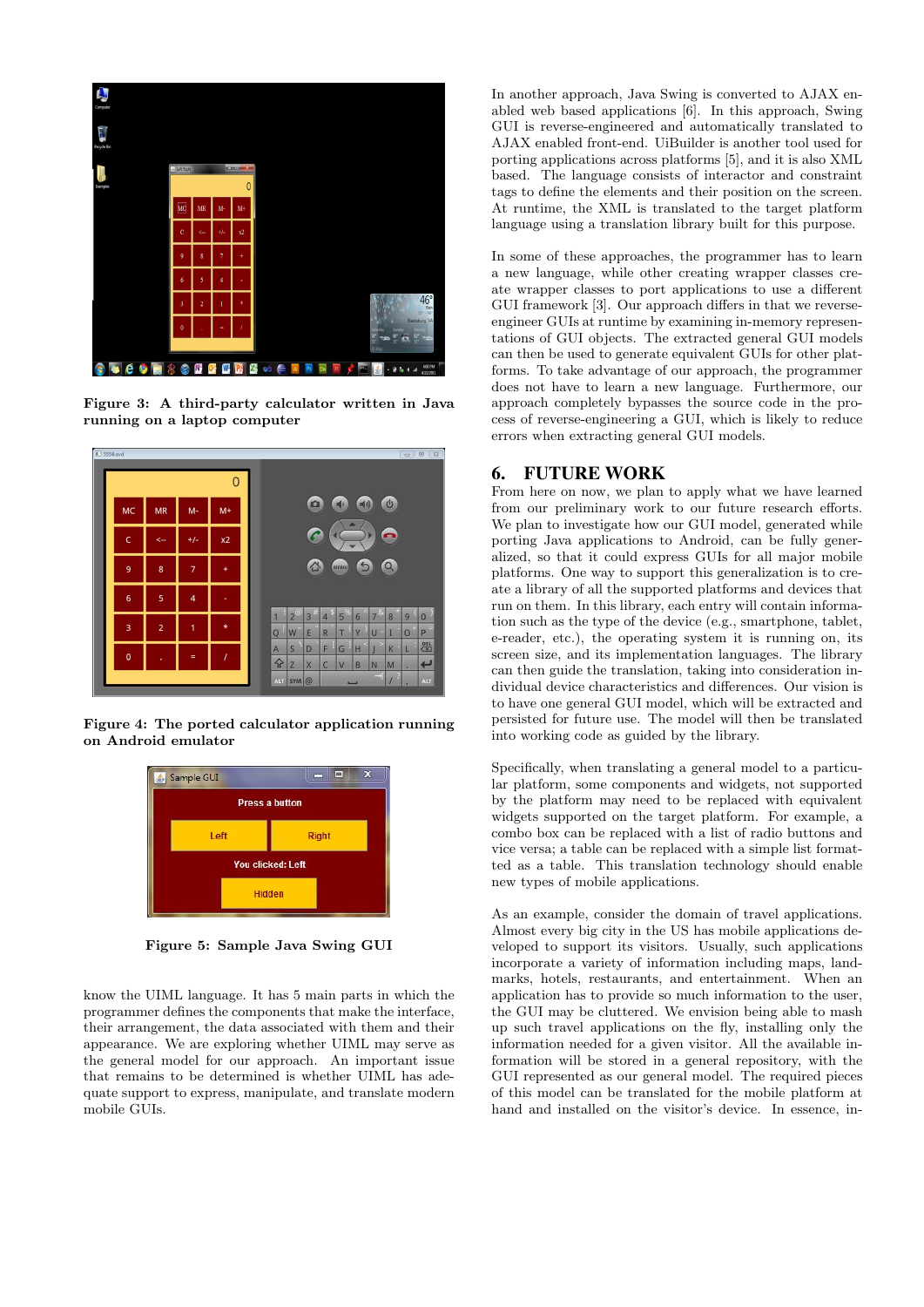

Figure 3: A third-party calculator written in Java running on a laptop computer



Figure 4: The ported calculator application running on Android emulator



Figure 5: Sample Java Swing GUI

know the UIML language. It has 5 main parts in which the programmer defines the components that make the interface, their arrangement, the data associated with them and their appearance. We are exploring whether UIML may serve as the general model for our approach. An important issue that remains to be determined is whether UIML has adequate support to express, manipulate, and translate modern mobile GUIs.

In another approach, Java Swing is converted to AJAX enabled web based applications [6]. In this approach, Swing GUI is reverse-engineered and automatically translated to AJAX enabled front-end. UiBuilder is another tool used for porting applications across platforms [5], and it is also XML based. The language consists of interactor and constraint tags to define the elements and their position on the screen. At runtime, the XML is translated to the target platform language using a translation library built for this purpose.

In some of these approaches, the programmer has to learn a new language, while other creating wrapper classes create wrapper classes to port applications to use a different GUI framework [3]. Our approach differs in that we reverseengineer GUIs at runtime by examining in-memory representations of GUI objects. The extracted general GUI models can then be used to generate equivalent GUIs for other platforms. To take advantage of our approach, the programmer does not have to learn a new language. Furthermore, our approach completely bypasses the source code in the process of reverse-engineering a GUI, which is likely to reduce errors when extracting general GUI models.

## 6. FUTURE WORK

From here on now, we plan to apply what we have learned from our preliminary work to our future research efforts. We plan to investigate how our GUI model, generated while porting Java applications to Android, can be fully generalized, so that it could express GUIs for all major mobile platforms. One way to support this generalization is to create a library of all the supported platforms and devices that run on them. In this library, each entry will contain information such as the type of the device (e.g., smartphone, tablet, e-reader, etc.), the operating system it is running on, its screen size, and its implementation languages. The library can then guide the translation, taking into consideration individual device characteristics and differences. Our vision is to have one general GUI model, which will be extracted and persisted for future use. The model will then be translated into working code as guided by the library.

Specifically, when translating a general model to a particular platform, some components and widgets, not supported by the platform may need to be replaced with equivalent widgets supported on the target platform. For example, a combo box can be replaced with a list of radio buttons and vice versa; a table can be replaced with a simple list formatted as a table. This translation technology should enable new types of mobile applications.

As an example, consider the domain of travel applications. Almost every big city in the US has mobile applications developed to support its visitors. Usually, such applications incorporate a variety of information including maps, landmarks, hotels, restaurants, and entertainment. When an application has to provide so much information to the user, the GUI may be cluttered. We envision being able to mash up such travel applications on the fly, installing only the information needed for a given visitor. All the available information will be stored in a general repository, with the GUI represented as our general model. The required pieces of this model can be translated for the mobile platform at hand and installed on the visitor's device. In essence, in-